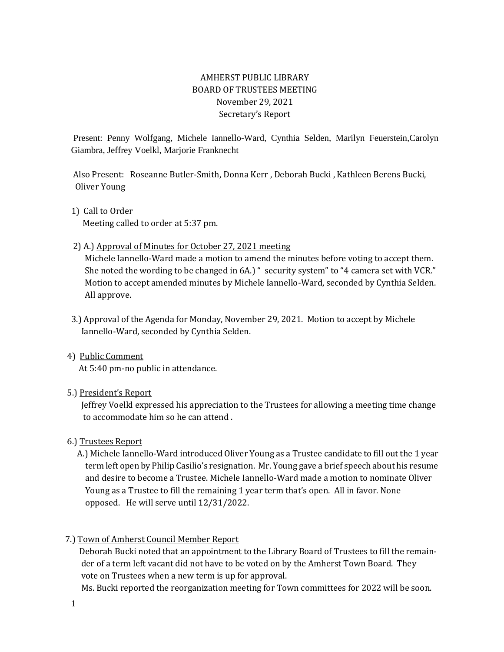# AMHERST PUBLIC LIBRARY BOARD OF TRUSTEES MEETING November 29, 2021 Secretary's Report

Present: Penny Wolfgang, Michele Iannello-Ward, Cynthia Selden, Marilyn Feuerstein,Carolyn Giambra, Jeffrey Voelkl, Marjorie Franknecht

 Also Present: Roseanne Butler-Smith, Donna Kerr , Deborah Bucki , Kathleen Berens Bucki, Oliver Young

### 1) Call to Order

Meeting called to order at 5:37 pm.

### 2) A.) Approval of Minutes for October 27, 2021 meeting

 Michele Iannello-Ward made a motion to amend the minutes before voting to accept them. She noted the wording to be changed in 6A.) " security system" to "4 camera set with VCR." Motion to accept amended minutes by Michele Iannello-Ward, seconded by Cynthia Selden. All approve.

- 3.) Approval of the Agenda for Monday, November 29, 2021. Motion to accept by Michele Iannello-Ward, seconded by Cynthia Selden.
- 4) Public Comment At 5:40 pm-no public in attendance.

### 5.) President's Report

 Jeffrey Voelkl expressed his appreciation to the Trustees for allowing a meeting time change to accommodate him so he can attend .

### 6.) Trustees Report

 A.) Michele Iannello-Ward introduced Oliver Young as a Trustee candidate to fill out the 1 year term left open by Philip Casilio's resignation. Mr. Young gave a brief speech about his resume and desire to become a Trustee. Michele Iannello-Ward made a motion to nominate Oliver Young as a Trustee to fill the remaining 1 year term that's open. All in favor. None opposed. He will serve until 12/31/2022.

## 7.) Town of Amherst Council Member Report

 Deborah Bucki noted that an appointment to the Library Board of Trustees to fill the remain der of a term left vacant did not have to be voted on by the Amherst Town Board. They vote on Trustees when a new term is up for approval.

Ms. Bucki reported the reorganization meeting for Town committees for 2022 will be soon.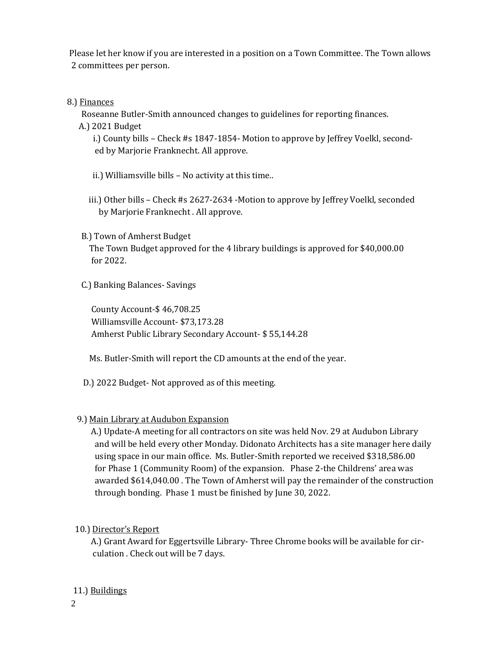Please let her know if you are interested in a position on a Town Committee. The Town allows 2 committees per person.

## 8.) Finances

Roseanne Butler-Smith announced changes to guidelines for reporting finances.

A.) 2021 Budget

 i.) County bills – Check #s 1847-1854- Motion to approve by Jeffrey Voelkl, second ed by Marjorie Franknecht. All approve.

- ii.) Williamsville bills No activity at this time..
- iii.) Other bills Check #s 2627-2634 -Motion to approve by Jeffrey Voelkl, seconded by Marjorie Franknecht . All approve.
- B.) Town of Amherst Budget

 The Town Budget approved for the 4 library buildings is approved for \$40,000.00 for 2022.

C.) Banking Balances- Savings

 County Account-\$ 46,708.25 Williamsville Account- \$73,173.28 Amherst Public Library Secondary Account- \$ 55,144.28

Ms. Butler-Smith will report the CD amounts at the end of the year.

D.) 2022 Budget- Not approved as of this meeting.

## 9.) Main Library at Audubon Expansion

 A.) Update-A meeting for all contractors on site was held Nov. 29 at Audubon Library and will be held every other Monday. Didonato Architects has a site manager here daily using space in our main office. Ms. Butler-Smith reported we received \$318,586.00 for Phase 1 (Community Room) of the expansion. Phase 2-the Childrens' area was awarded \$614,040.00 . The Town of Amherst will pay the remainder of the construction through bonding. Phase 1 must be finished by June 30, 2022.

10.) Director's Report

 A.) Grant Award for Eggertsville Library- Three Chrome books will be available for cir culation . Check out will be 7 days.

## 11.) Buildings